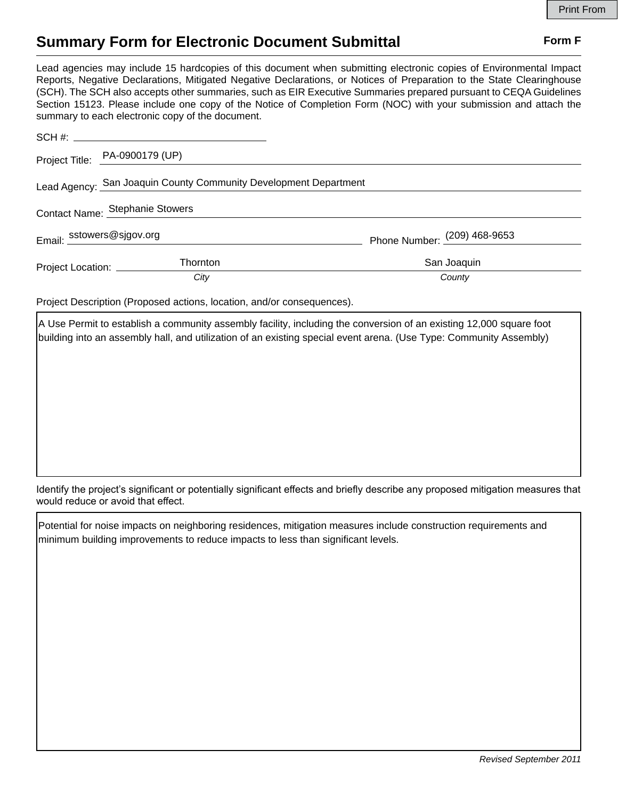## **Summary Form for Electronic Document Submittal Form F Form F**

Lead agencies may include 15 hardcopies of this document when submitting electronic copies of Environmental Impact Reports, Negative Declarations, Mitigated Negative Declarations, or Notices of Preparation to the State Clearinghouse (SCH). The SCH also accepts other summaries, such as EIR Executive Summaries prepared pursuant to CEQA Guidelines Section 15123. Please include one copy of the Notice of Completion Form (NOC) with your submission and attach the summary to each electronic copy of the document.

|                                                                  | Project Title: PA-0900179 (UP) |                              |
|------------------------------------------------------------------|--------------------------------|------------------------------|
| Lead Agency: San Joaquin County Community Development Department |                                |                              |
| Contact Name: Stephanie Stowers                                  |                                |                              |
| Email: sstowers@sjgov.org                                        |                                | Phone Number: (209) 468-9653 |
| Project Location: _________                                      | <b>Thornton</b>                | San Joaquin                  |
|                                                                  | City                           | County                       |

Project Description (Proposed actions, location, and/or consequences).

A Use Permit to establish a community assembly facility, including the conversion of an existing 12,000 square foot building into an assembly hall, and utilization of an existing special event arena. (Use Type: Community Assembly)

Identify the project's significant or potentially significant effects and briefly describe any proposed mitigation measures that would reduce or avoid that effect.

Potential for noise impacts on neighboring residences, mitigation measures include construction requirements and minimum building improvements to reduce impacts to less than significant levels.